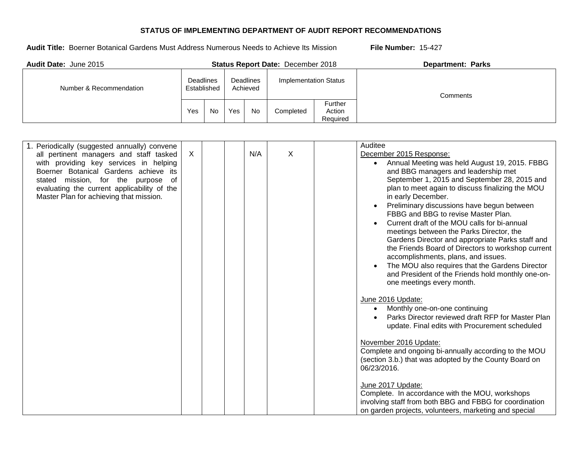| <b>Audit Date: June 2015</b> |                                                          |    |     |                              | <b>Status Report Date: December 2018</b> |                                      | <b>Department: Parks</b> |
|------------------------------|----------------------------------------------------------|----|-----|------------------------------|------------------------------------------|--------------------------------------|--------------------------|
| Number & Recommendation      | Deadlines<br><b>Deadlines</b><br>Established<br>Achieved |    |     | <b>Implementation Status</b> |                                          | Comments                             |                          |
|                              | Yes                                                      | No | Yes | <b>No</b>                    | Completed                                | <b>Further</b><br>Action<br>Required |                          |

| 1. Periodically (suggested annually) convene |         |  |     |   | Auditee                                                    |  |
|----------------------------------------------|---------|--|-----|---|------------------------------------------------------------|--|
| all pertinent managers and staff tasked      | $\sf X$ |  | N/A | X | December 2015 Response:                                    |  |
| with providing key services in helping       |         |  |     |   | Annual Meeting was held August 19, 2015. FBBG<br>$\bullet$ |  |
| Boerner Botanical Gardens achieve its        |         |  |     |   | and BBG managers and leadership met                        |  |
| stated mission, for the purpose<br>of        |         |  |     |   | September 1, 2015 and September 28, 2015 and               |  |
| evaluating the current applicability of the  |         |  |     |   | plan to meet again to discuss finalizing the MOU           |  |
| Master Plan for achieving that mission.      |         |  |     |   | in early December.                                         |  |
|                                              |         |  |     |   | Preliminary discussions have begun between                 |  |
|                                              |         |  |     |   | FBBG and BBG to revise Master Plan.                        |  |
|                                              |         |  |     |   | Current draft of the MOU calls for bi-annual               |  |
|                                              |         |  |     |   | meetings between the Parks Director, the                   |  |
|                                              |         |  |     |   | Gardens Director and appropriate Parks staff and           |  |
|                                              |         |  |     |   | the Friends Board of Directors to workshop current         |  |
|                                              |         |  |     |   | accomplishments, plans, and issues.                        |  |
|                                              |         |  |     |   | The MOU also requires that the Gardens Director            |  |
|                                              |         |  |     |   | and President of the Friends hold monthly one-on-          |  |
|                                              |         |  |     |   | one meetings every month.                                  |  |
|                                              |         |  |     |   |                                                            |  |
|                                              |         |  |     |   | June 2016 Update:                                          |  |
|                                              |         |  |     |   | Monthly one-on-one continuing<br>$\bullet$                 |  |
|                                              |         |  |     |   | Parks Director reviewed draft RFP for Master Plan          |  |
|                                              |         |  |     |   | update. Final edits with Procurement scheduled             |  |
|                                              |         |  |     |   |                                                            |  |
|                                              |         |  |     |   | November 2016 Update:                                      |  |
|                                              |         |  |     |   | Complete and ongoing bi-annually according to the MOU      |  |
|                                              |         |  |     |   | (section 3.b.) that was adopted by the County Board on     |  |
|                                              |         |  |     |   | 06/23/2016.                                                |  |
|                                              |         |  |     |   |                                                            |  |
|                                              |         |  |     |   | June 2017 Update:                                          |  |
|                                              |         |  |     |   | Complete. In accordance with the MOU, workshops            |  |
|                                              |         |  |     |   | involving staff from both BBG and FBBG for coordination    |  |
|                                              |         |  |     |   | on garden projects, volunteers, marketing and special      |  |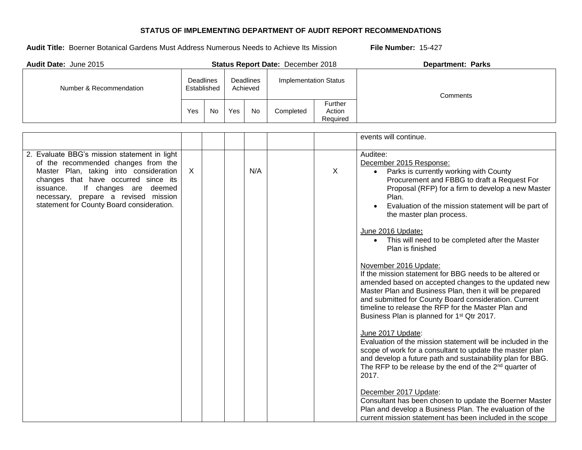| Audit Date: June 2015                                                                                                                                                                                                                                                                            |                                                                 |    |                              |     | Status Report Date: December 2018 |                               | <b>Department: Parks</b>                                                                                                                                                                                                                                                                                                                                                                                                                                                                                                                                                                                                                                                                                                                                                                                                                                                                                                                                                                                                                                                                      |  |  |
|--------------------------------------------------------------------------------------------------------------------------------------------------------------------------------------------------------------------------------------------------------------------------------------------------|-----------------------------------------------------------------|----|------------------------------|-----|-----------------------------------|-------------------------------|-----------------------------------------------------------------------------------------------------------------------------------------------------------------------------------------------------------------------------------------------------------------------------------------------------------------------------------------------------------------------------------------------------------------------------------------------------------------------------------------------------------------------------------------------------------------------------------------------------------------------------------------------------------------------------------------------------------------------------------------------------------------------------------------------------------------------------------------------------------------------------------------------------------------------------------------------------------------------------------------------------------------------------------------------------------------------------------------------|--|--|
| Number & Recommendation                                                                                                                                                                                                                                                                          | <b>Deadlines</b><br><b>Deadlines</b><br>Established<br>Achieved |    | <b>Implementation Status</b> |     | Comments                          |                               |                                                                                                                                                                                                                                                                                                                                                                                                                                                                                                                                                                                                                                                                                                                                                                                                                                                                                                                                                                                                                                                                                               |  |  |
|                                                                                                                                                                                                                                                                                                  | Yes                                                             | No | Yes                          | No  | Completed                         | Further<br>Action<br>Required |                                                                                                                                                                                                                                                                                                                                                                                                                                                                                                                                                                                                                                                                                                                                                                                                                                                                                                                                                                                                                                                                                               |  |  |
|                                                                                                                                                                                                                                                                                                  |                                                                 |    |                              |     |                                   |                               | events will continue.                                                                                                                                                                                                                                                                                                                                                                                                                                                                                                                                                                                                                                                                                                                                                                                                                                                                                                                                                                                                                                                                         |  |  |
| 2. Evaluate BBG's mission statement in light<br>of the recommended changes from the<br>Master Plan, taking into consideration<br>changes that have occurred since its<br>If changes are deemed<br>issuance.<br>necessary, prepare a revised mission<br>statement for County Board consideration. | $\sf X$                                                         |    |                              | N/A |                                   | X                             | Auditee:<br>December 2015 Response:<br>Parks is currently working with County<br>Procurement and FBBG to draft a Request For<br>Proposal (RFP) for a firm to develop a new Master<br>Plan.<br>Evaluation of the mission statement will be part of<br>the master plan process.<br>June 2016 Update:<br>This will need to be completed after the Master<br>$\bullet$<br>Plan is finished<br>November 2016 Update:<br>If the mission statement for BBG needs to be altered or<br>amended based on accepted changes to the updated new<br>Master Plan and Business Plan, then it will be prepared<br>and submitted for County Board consideration. Current<br>timeline to release the RFP for the Master Plan and<br>Business Plan is planned for 1 <sup>st</sup> Qtr 2017.<br>June 2017 Update:<br>Evaluation of the mission statement will be included in the<br>scope of work for a consultant to update the master plan<br>and develop a future path and sustainability plan for BBG.<br>The RFP to be release by the end of the 2 <sup>nd</sup> quarter of<br>2017.<br>December 2017 Update: |  |  |
|                                                                                                                                                                                                                                                                                                  |                                                                 |    |                              |     |                                   |                               | Consultant has been chosen to update the Boerner Master<br>Plan and develop a Business Plan. The evaluation of the<br>current mission statement has been included in the scope                                                                                                                                                                                                                                                                                                                                                                                                                                                                                                                                                                                                                                                                                                                                                                                                                                                                                                                |  |  |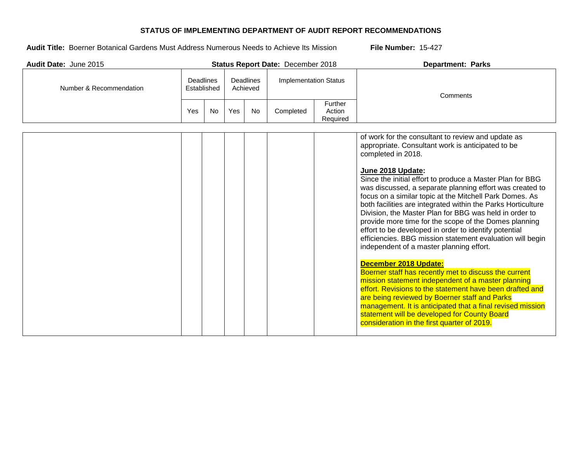**Audit Title:** Boerner Botanical Gardens Must Address Numerous Needs to Achieve Its Mission **File Number:** 15-427

| <b>Audit Date: June 2015</b> |                  |             |                              |           | <b>Status Report Date: December 2018</b> |                               | <b>Department: Parks</b>                                                                                                                                                                                                                                                                                                                                                                                                                                                                                                                                                                                                                                                                    |
|------------------------------|------------------|-------------|------------------------------|-----------|------------------------------------------|-------------------------------|---------------------------------------------------------------------------------------------------------------------------------------------------------------------------------------------------------------------------------------------------------------------------------------------------------------------------------------------------------------------------------------------------------------------------------------------------------------------------------------------------------------------------------------------------------------------------------------------------------------------------------------------------------------------------------------------|
| Number & Recommendation      | <b>Deadlines</b> | Established | <b>Deadlines</b><br>Achieved |           | <b>Implementation Status</b>             |                               | Comments                                                                                                                                                                                                                                                                                                                                                                                                                                                                                                                                                                                                                                                                                    |
|                              | Yes              | <b>No</b>   | Yes                          | <b>No</b> | Completed                                | Further<br>Action<br>Required |                                                                                                                                                                                                                                                                                                                                                                                                                                                                                                                                                                                                                                                                                             |
|                              |                  |             |                              |           |                                          |                               | of work for the consultant to review and update as<br>appropriate. Consultant work is anticipated to be<br>completed in 2018.<br>June 2018 Update:<br>Since the initial effort to produce a Master Plan for BBG<br>was discussed, a separate planning effort was created to<br>focus on a similar topic at the Mitchell Park Domes. As<br>both facilities are integrated within the Parks Horticulture<br>Division, the Master Plan for BBG was held in order to<br>provide more time for the scope of the Domes planning<br>effort to be developed in order to identify potential<br>efficiencies. BBG mission statement evaluation will begin<br>independent of a master planning effort. |

# **December 2018 Update:**

| Boerner staff has recently met to discuss the current      |  |
|------------------------------------------------------------|--|
| mission statement independent of a master planning         |  |
| effort. Revisions to the statement have been drafted and   |  |
| are being reviewed by Boerner staff and Parks              |  |
| management. It is anticipated that a final revised mission |  |
| statement will be developed for County Board               |  |
| consideration in the first quarter of 2019.                |  |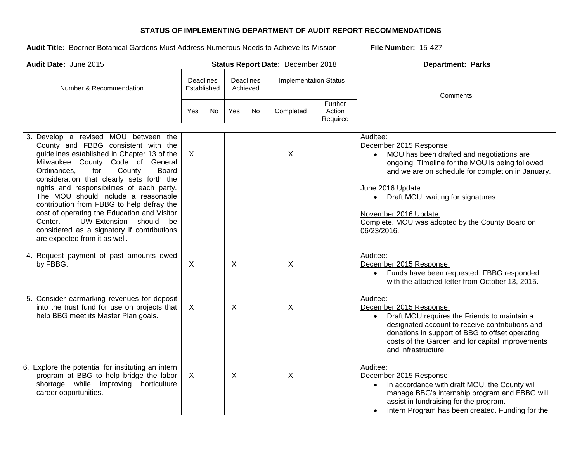| Audit Date: June 2015                                                                                                                                                                                                                                                                                                                                                                                                                                                                                                                                               |                                 |     |         |                       | Status Report Date: December 2018 |                               | <b>Department: Parks</b>                                                                                                                                                                                                                                                                                                                                     |
|---------------------------------------------------------------------------------------------------------------------------------------------------------------------------------------------------------------------------------------------------------------------------------------------------------------------------------------------------------------------------------------------------------------------------------------------------------------------------------------------------------------------------------------------------------------------|---------------------------------|-----|---------|-----------------------|-----------------------------------|-------------------------------|--------------------------------------------------------------------------------------------------------------------------------------------------------------------------------------------------------------------------------------------------------------------------------------------------------------------------------------------------------------|
| Number & Recommendation                                                                                                                                                                                                                                                                                                                                                                                                                                                                                                                                             | <b>Deadlines</b><br>Established |     |         | Deadlines<br>Achieved | <b>Implementation Status</b>      |                               | Comments                                                                                                                                                                                                                                                                                                                                                     |
|                                                                                                                                                                                                                                                                                                                                                                                                                                                                                                                                                                     | Yes                             | No. | Yes     | No                    | Completed                         | Further<br>Action<br>Required |                                                                                                                                                                                                                                                                                                                                                              |
| 3. Develop a revised MOU between the<br>County and FBBG consistent with the<br>guidelines established in Chapter 13 of the<br>Milwaukee County Code of General<br>County<br><b>Board</b><br>Ordinances,<br>for<br>consideration that clearly sets forth the<br>rights and responsibilities of each party.<br>The MOU should include a reasonable<br>contribution from FBBG to help defray the<br>cost of operating the Education and Visitor<br>UW-Extension should<br>Center.<br>be<br>considered as a signatory if contributions<br>are expected from it as well. | $\sf X$                         |     |         |                       | X                                 |                               | Auditee:<br>December 2015 Response:<br>MOU has been drafted and negotiations are<br>$\bullet$<br>ongoing. Timeline for the MOU is being followed<br>and we are on schedule for completion in January.<br>June 2016 Update:<br>• Draft MOU waiting for signatures<br>November 2016 Update:<br>Complete. MOU was adopted by the County Board on<br>06/23/2016. |
| 4. Request payment of past amounts owed<br>by FBBG.                                                                                                                                                                                                                                                                                                                                                                                                                                                                                                                 | $\mathsf{X}$                    |     | X       |                       | X                                 |                               | Auditee:<br>December 2015 Response:<br>• Funds have been requested. FBBG responded<br>with the attached letter from October 13, 2015.                                                                                                                                                                                                                        |
| 5. Consider earmarking revenues for deposit<br>into the trust fund for use on projects that<br>help BBG meet its Master Plan goals.                                                                                                                                                                                                                                                                                                                                                                                                                                 | $\sf X$                         |     | $\sf X$ |                       | X                                 |                               | Auditee:<br>December 2015 Response:<br>Draft MOU requires the Friends to maintain a<br>designated account to receive contributions and<br>donations in support of BBG to offset operating<br>costs of the Garden and for capital improvements<br>and infrastructure.                                                                                         |
| Explore the potential for instituting an intern<br>6.<br>program at BBG to help bridge the labor<br>shortage while improving horticulture<br>career opportunities.                                                                                                                                                                                                                                                                                                                                                                                                  | $\sf X$                         |     | $\sf X$ |                       | X                                 |                               | Auditee:<br>December 2015 Response:<br>In accordance with draft MOU, the County will<br>manage BBG's internship program and FBBG will<br>assist in fundraising for the program.<br>Intern Program has been created. Funding for the                                                                                                                          |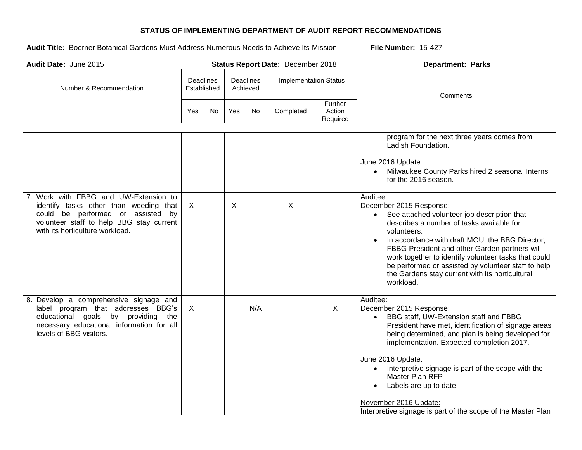| Audit Date: June 2015                                                                                                                                                                               |              |                                                                 |     |                              | Status Report Date: December 2018 |                               | <b>Department: Parks</b>                                                                                                                                                                                                                                                                                                                                                                                                                                                                                                                 |
|-----------------------------------------------------------------------------------------------------------------------------------------------------------------------------------------------------|--------------|-----------------------------------------------------------------|-----|------------------------------|-----------------------------------|-------------------------------|------------------------------------------------------------------------------------------------------------------------------------------------------------------------------------------------------------------------------------------------------------------------------------------------------------------------------------------------------------------------------------------------------------------------------------------------------------------------------------------------------------------------------------------|
| Number & Recommendation                                                                                                                                                                             |              | <b>Deadlines</b><br><b>Deadlines</b><br>Established<br>Achieved |     | <b>Implementation Status</b> |                                   | Comments                      |                                                                                                                                                                                                                                                                                                                                                                                                                                                                                                                                          |
|                                                                                                                                                                                                     | Yes          | <b>No</b>                                                       | Yes | No                           | Completed                         | Further<br>Action<br>Required |                                                                                                                                                                                                                                                                                                                                                                                                                                                                                                                                          |
| 7. Work with FBBG and UW-Extension to<br>identify tasks other than weeding that<br>could be performed or assisted by<br>volunteer staff to help BBG stay current<br>with its horticulture workload. | $\mathsf{X}$ |                                                                 | X   |                              | X                                 |                               | program for the next three years comes from<br>Ladish Foundation.<br>June 2016 Update:<br>• Milwaukee County Parks hired 2 seasonal Interns<br>for the 2016 season.<br>Auditee:<br>December 2015 Response:<br>See attached volunteer job description that<br>describes a number of tasks available for<br>volunteers.<br>In accordance with draft MOU, the BBG Director,<br>FBBG President and other Garden partners will<br>work together to identify volunteer tasks that could<br>be performed or assisted by volunteer staff to help |
| 8. Develop a comprehensive signage and<br>label program that addresses BBG's<br>educational goals by providing<br>the<br>necessary educational information for all<br>levels of BBG visitors.       | $\mathsf{X}$ |                                                                 |     | N/A                          |                                   | $\sf X$                       | the Gardens stay current with its horticultural<br>workload.<br>Auditee:<br>December 2015 Response:<br>BBG staff, UW-Extension staff and FBBG<br>President have met, identification of signage areas<br>being determined, and plan is being developed for<br>implementation. Expected completion 2017.<br>June 2016 Update:<br>Interpretive signage is part of the scope with the<br>Master Plan RFP<br>Labels are up to date<br>$\bullet$<br>November 2016 Update:<br>Interpretive signage is part of the scope of the Master Plan      |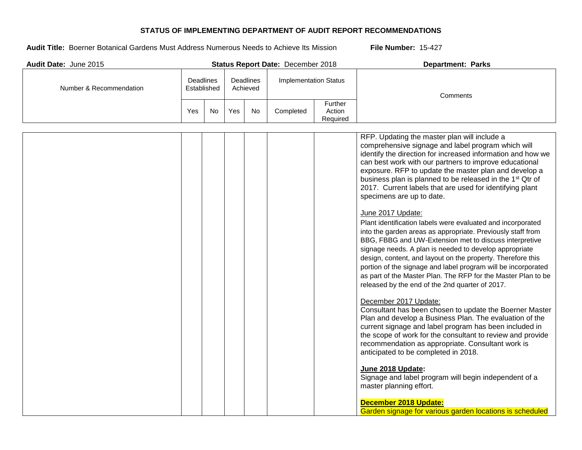| Audit Date: June 2015   |                                 |     |     |                              | Status Report Date: December 2018 |                               | <b>Department: Parks</b>                                                                                                                                                                                                                                                                                                                                                                                                                                                                                                                                                                                                                                                                                                                                                                                                                                                                                                                                                                                                                                                                                                                                                                                                                                                                                                                                                                                                                                                                                                                            |
|-------------------------|---------------------------------|-----|-----|------------------------------|-----------------------------------|-------------------------------|-----------------------------------------------------------------------------------------------------------------------------------------------------------------------------------------------------------------------------------------------------------------------------------------------------------------------------------------------------------------------------------------------------------------------------------------------------------------------------------------------------------------------------------------------------------------------------------------------------------------------------------------------------------------------------------------------------------------------------------------------------------------------------------------------------------------------------------------------------------------------------------------------------------------------------------------------------------------------------------------------------------------------------------------------------------------------------------------------------------------------------------------------------------------------------------------------------------------------------------------------------------------------------------------------------------------------------------------------------------------------------------------------------------------------------------------------------------------------------------------------------------------------------------------------------|
| Number & Recommendation | <b>Deadlines</b><br>Established |     |     | <b>Deadlines</b><br>Achieved | <b>Implementation Status</b>      |                               | Comments                                                                                                                                                                                                                                                                                                                                                                                                                                                                                                                                                                                                                                                                                                                                                                                                                                                                                                                                                                                                                                                                                                                                                                                                                                                                                                                                                                                                                                                                                                                                            |
|                         | Yes                             | No. | Yes | <b>No</b>                    | Completed                         | Further<br>Action<br>Required |                                                                                                                                                                                                                                                                                                                                                                                                                                                                                                                                                                                                                                                                                                                                                                                                                                                                                                                                                                                                                                                                                                                                                                                                                                                                                                                                                                                                                                                                                                                                                     |
|                         |                                 |     |     |                              |                                   |                               | RFP. Updating the master plan will include a<br>comprehensive signage and label program which will<br>identify the direction for increased information and how we<br>can best work with our partners to improve educational<br>exposure. RFP to update the master plan and develop a<br>business plan is planned to be released in the 1 <sup>st</sup> Qtr of<br>2017. Current labels that are used for identifying plant<br>specimens are up to date.<br>June 2017 Update:<br>Plant identification labels were evaluated and incorporated<br>into the garden areas as appropriate. Previously staff from<br>BBG, FBBG and UW-Extension met to discuss interpretive<br>signage needs. A plan is needed to develop appropriate<br>design, content, and layout on the property. Therefore this<br>portion of the signage and label program will be incorporated<br>as part of the Master Plan. The RFP for the Master Plan to be<br>released by the end of the 2nd quarter of 2017.<br>December 2017 Update:<br>Consultant has been chosen to update the Boerner Master<br>Plan and develop a Business Plan. The evaluation of the<br>current signage and label program has been included in<br>the scope of work for the consultant to review and provide<br>recommendation as appropriate. Consultant work is<br>anticipated to be completed in 2018.<br>June 2018 Update:<br>Signage and label program will begin independent of a<br>master planning effort.<br>December 2018 Update:<br>Garden signage for various garden locations is scheduled |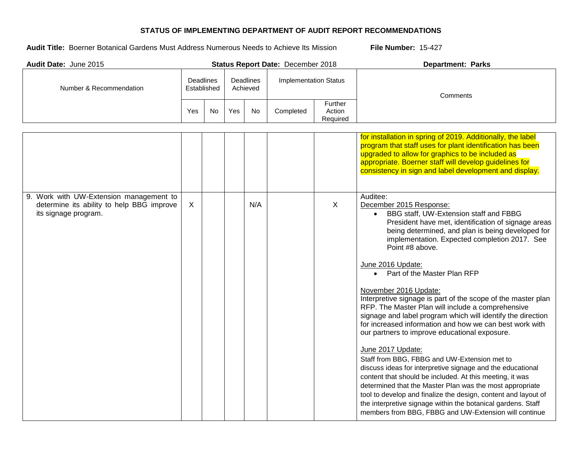| Audit Date: June 2015                                                                                        |                                                          |    |     |                              | Status Report Date: December 2018 |                               | <b>Department: Parks</b>                                                                                                                                                                                                                                                                                                                                                                                                                                                                                                                                                                                                                                                                                                                                                                                                                                                                                                                                                                                                                                                                                      |
|--------------------------------------------------------------------------------------------------------------|----------------------------------------------------------|----|-----|------------------------------|-----------------------------------|-------------------------------|---------------------------------------------------------------------------------------------------------------------------------------------------------------------------------------------------------------------------------------------------------------------------------------------------------------------------------------------------------------------------------------------------------------------------------------------------------------------------------------------------------------------------------------------------------------------------------------------------------------------------------------------------------------------------------------------------------------------------------------------------------------------------------------------------------------------------------------------------------------------------------------------------------------------------------------------------------------------------------------------------------------------------------------------------------------------------------------------------------------|
| Number & Recommendation                                                                                      | Deadlines<br><b>Deadlines</b><br>Established<br>Achieved |    |     | <b>Implementation Status</b> |                                   | Comments                      |                                                                                                                                                                                                                                                                                                                                                                                                                                                                                                                                                                                                                                                                                                                                                                                                                                                                                                                                                                                                                                                                                                               |
|                                                                                                              | Yes                                                      | No | Yes | No                           | Completed                         | Further<br>Action<br>Required |                                                                                                                                                                                                                                                                                                                                                                                                                                                                                                                                                                                                                                                                                                                                                                                                                                                                                                                                                                                                                                                                                                               |
|                                                                                                              |                                                          |    |     |                              |                                   |                               | for installation in spring of 2019. Additionally, the label<br>program that staff uses for plant identification has been<br>upgraded to allow for graphics to be included as<br>appropriate. Boerner staff will develop guidelines for<br>consistency in sign and label development and display.                                                                                                                                                                                                                                                                                                                                                                                                                                                                                                                                                                                                                                                                                                                                                                                                              |
| 9. Work with UW-Extension management to<br>determine its ability to help BBG improve<br>its signage program. | $\sf X$                                                  |    |     | N/A                          |                                   | $\sf X$                       | Auditee:<br>December 2015 Response:<br>BBG staff, UW-Extension staff and FBBG<br>President have met, identification of signage areas<br>being determined, and plan is being developed for<br>implementation. Expected completion 2017. See<br>Point #8 above.<br>June 2016 Update:<br>Part of the Master Plan RFP<br>$\bullet$<br>November 2016 Update:<br>Interpretive signage is part of the scope of the master plan<br>RFP. The Master Plan will include a comprehensive<br>signage and label program which will identify the direction<br>for increased information and how we can best work with<br>our partners to improve educational exposure.<br>June 2017 Update:<br>Staff from BBG, FBBG and UW-Extension met to<br>discuss ideas for interpretive signage and the educational<br>content that should be included. At this meeting, it was<br>determined that the Master Plan was the most appropriate<br>tool to develop and finalize the design, content and layout of<br>the interpretive signage within the botanical gardens. Staff<br>members from BBG, FBBG and UW-Extension will continue |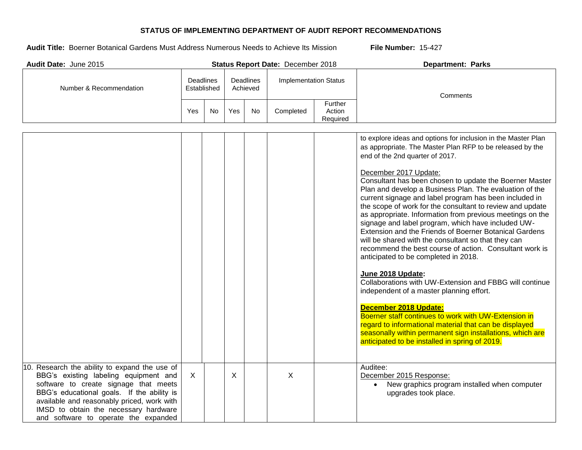| Audit Date: June 2015                                                                                                                                                                                                                                                                                        |                                                   |    |         |                              | Status Report Date: December 2018 |                               | <b>Department: Parks</b>                                                                                                                                                                                                                                                                                                                                                                                                                                                                                                                                                                                                                                                                                                                                                                                                                                                                                                                                                                                                                                                                                                                                         |
|--------------------------------------------------------------------------------------------------------------------------------------------------------------------------------------------------------------------------------------------------------------------------------------------------------------|---------------------------------------------------|----|---------|------------------------------|-----------------------------------|-------------------------------|------------------------------------------------------------------------------------------------------------------------------------------------------------------------------------------------------------------------------------------------------------------------------------------------------------------------------------------------------------------------------------------------------------------------------------------------------------------------------------------------------------------------------------------------------------------------------------------------------------------------------------------------------------------------------------------------------------------------------------------------------------------------------------------------------------------------------------------------------------------------------------------------------------------------------------------------------------------------------------------------------------------------------------------------------------------------------------------------------------------------------------------------------------------|
| Number & Recommendation                                                                                                                                                                                                                                                                                      | Deadlines<br>Deadlines<br>Established<br>Achieved |    |         | <b>Implementation Status</b> |                                   | Comments                      |                                                                                                                                                                                                                                                                                                                                                                                                                                                                                                                                                                                                                                                                                                                                                                                                                                                                                                                                                                                                                                                                                                                                                                  |
|                                                                                                                                                                                                                                                                                                              | Yes                                               | No | Yes     | No                           | Completed                         | Further<br>Action<br>Required |                                                                                                                                                                                                                                                                                                                                                                                                                                                                                                                                                                                                                                                                                                                                                                                                                                                                                                                                                                                                                                                                                                                                                                  |
|                                                                                                                                                                                                                                                                                                              |                                                   |    |         |                              |                                   |                               | to explore ideas and options for inclusion in the Master Plan<br>as appropriate. The Master Plan RFP to be released by the<br>end of the 2nd quarter of 2017.<br>December 2017 Update:<br>Consultant has been chosen to update the Boerner Master<br>Plan and develop a Business Plan. The evaluation of the<br>current signage and label program has been included in<br>the scope of work for the consultant to review and update<br>as appropriate. Information from previous meetings on the<br>signage and label program, which have included UW-<br>Extension and the Friends of Boerner Botanical Gardens<br>will be shared with the consultant so that they can<br>recommend the best course of action. Consultant work is<br>anticipated to be completed in 2018.<br>June 2018 Update:<br>Collaborations with UW-Extension and FBBG will continue<br>independent of a master planning effort.<br>December 2018 Update:<br>Boerner staff continues to work with UW-Extension in<br>regard to informational material that can be displayed<br>seasonally within permanent sign installations, which are<br>anticipated to be installed in spring of 2019. |
| 10. Research the ability to expand the use of<br>BBG's existing labeling equipment and<br>software to create signage that meets<br>BBG's educational goals. If the ability is<br>available and reasonably priced, work with<br>IMSD to obtain the necessary hardware<br>and software to operate the expanded | X                                                 |    | $\sf X$ |                              | $\mathsf{X}$                      |                               | Auditee:<br>December 2015 Response:<br>New graphics program installed when computer<br>upgrades took place.                                                                                                                                                                                                                                                                                                                                                                                                                                                                                                                                                                                                                                                                                                                                                                                                                                                                                                                                                                                                                                                      |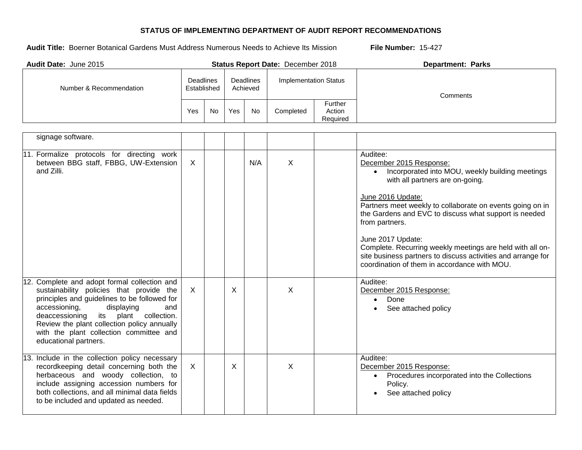| Audit Date: June 2015                                                                                                                                                                                                                                                                                                                           |                                                          |    |                              |     | Status Report Date: December 2018 |                               | <b>Department: Parks</b>                                                                                                                                                                                                                                                                                                                                                                                                                                                                   |
|-------------------------------------------------------------------------------------------------------------------------------------------------------------------------------------------------------------------------------------------------------------------------------------------------------------------------------------------------|----------------------------------------------------------|----|------------------------------|-----|-----------------------------------|-------------------------------|--------------------------------------------------------------------------------------------------------------------------------------------------------------------------------------------------------------------------------------------------------------------------------------------------------------------------------------------------------------------------------------------------------------------------------------------------------------------------------------------|
| Number & Recommendation                                                                                                                                                                                                                                                                                                                         | Deadlines<br><b>Deadlines</b><br>Established<br>Achieved |    | <b>Implementation Status</b> |     | Comments                          |                               |                                                                                                                                                                                                                                                                                                                                                                                                                                                                                            |
|                                                                                                                                                                                                                                                                                                                                                 | Yes                                                      | No | Yes                          | No  | Completed                         | Further<br>Action<br>Required |                                                                                                                                                                                                                                                                                                                                                                                                                                                                                            |
| signage software.                                                                                                                                                                                                                                                                                                                               |                                                          |    |                              |     |                                   |                               |                                                                                                                                                                                                                                                                                                                                                                                                                                                                                            |
| 11. Formalize protocols for directing work<br>between BBG staff, FBBG, UW-Extension<br>and Zilli.                                                                                                                                                                                                                                               | $\mathsf{X}$                                             |    |                              | N/A | $\sf X$                           |                               | Auditee:<br>December 2015 Response:<br>• Incorporated into MOU, weekly building meetings<br>with all partners are on-going.<br>June 2016 Update:<br>Partners meet weekly to collaborate on events going on in<br>the Gardens and EVC to discuss what support is needed<br>from partners.<br>June 2017 Update:<br>Complete. Recurring weekly meetings are held with all on-<br>site business partners to discuss activities and arrange for<br>coordination of them in accordance with MOU. |
| 12. Complete and adopt formal collection and<br>sustainability policies that provide the<br>principles and guidelines to be followed for<br>accessioning,<br>displaying<br>and<br>plant collection.<br>its<br>deaccessioning<br>Review the plant collection policy annually<br>with the plant collection committee and<br>educational partners. | $\mathsf{X}$                                             |    | X                            |     | $\mathsf{X}$                      |                               | Auditee:<br>December 2015 Response:<br>Done<br>$\bullet$<br>See attached policy<br>$\bullet$                                                                                                                                                                                                                                                                                                                                                                                               |
| 13. Include in the collection policy necessary<br>recordkeeping detail concerning both the<br>herbaceous and woody collection, to<br>include assigning accession numbers for<br>both collections, and all minimal data fields<br>to be included and updated as needed.                                                                          | $\mathsf{X}$                                             |    | X                            |     | X                                 |                               | Auditee:<br>December 2015 Response:<br>Procedures incorporated into the Collections<br>$\bullet$<br>Policy.<br>See attached policy                                                                                                                                                                                                                                                                                                                                                         |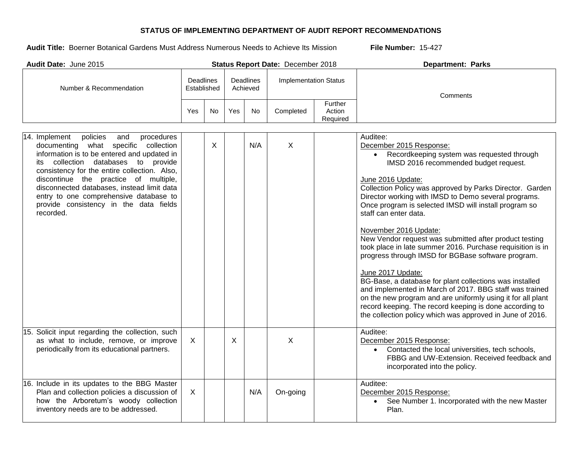| Audit Date: June 2015                                                                                                                                                                                                                                                                                                                                                                                                   |                                                                 |     |                              |           | Status Report Date: December 2018 |                               | <b>Department: Parks</b>                                                                                                                                                                                                                                                                                                                                                                                                                                                                                                                                                                                                                                                                                                                                                                                                                                                                                    |
|-------------------------------------------------------------------------------------------------------------------------------------------------------------------------------------------------------------------------------------------------------------------------------------------------------------------------------------------------------------------------------------------------------------------------|-----------------------------------------------------------------|-----|------------------------------|-----------|-----------------------------------|-------------------------------|-------------------------------------------------------------------------------------------------------------------------------------------------------------------------------------------------------------------------------------------------------------------------------------------------------------------------------------------------------------------------------------------------------------------------------------------------------------------------------------------------------------------------------------------------------------------------------------------------------------------------------------------------------------------------------------------------------------------------------------------------------------------------------------------------------------------------------------------------------------------------------------------------------------|
| Number & Recommendation                                                                                                                                                                                                                                                                                                                                                                                                 | <b>Deadlines</b><br><b>Deadlines</b><br>Established<br>Achieved |     | <b>Implementation Status</b> |           | Comments                          |                               |                                                                                                                                                                                                                                                                                                                                                                                                                                                                                                                                                                                                                                                                                                                                                                                                                                                                                                             |
|                                                                                                                                                                                                                                                                                                                                                                                                                         | Yes                                                             | No. | Yes                          | <b>No</b> | Completed                         | Further<br>Action<br>Required |                                                                                                                                                                                                                                                                                                                                                                                                                                                                                                                                                                                                                                                                                                                                                                                                                                                                                                             |
| 14. Implement<br>policies<br>procedures<br>and<br>documenting what specific collection<br>information is to be entered and updated in<br>collection databases to provide<br>its<br>consistency for the entire collection. Also,<br>discontinue the practice of multiple,<br>disconnected databases, instead limit data<br>entry to one comprehensive database to<br>provide consistency in the data fields<br>recorded. |                                                                 | X   |                              | N/A       | $\sf X$                           |                               | Auditee:<br>December 2015 Response:<br>Recordkeeping system was requested through<br>$\bullet$<br>IMSD 2016 recommended budget request.<br>June 2016 Update:<br>Collection Policy was approved by Parks Director. Garden<br>Director working with IMSD to Demo several programs.<br>Once program is selected IMSD will install program so<br>staff can enter data.<br>November 2016 Update:<br>New Vendor request was submitted after product testing<br>took place in late summer 2016. Purchase requisition is in<br>progress through IMSD for BGBase software program.<br>June 2017 Update:<br>BG-Base, a database for plant collections was installed<br>and implemented in March of 2017. BBG staff was trained<br>on the new program and are uniformly using it for all plant<br>record keeping. The record keeping is done according to<br>the collection policy which was approved in June of 2016. |
| 15. Solicit input regarding the collection, such<br>as what to include, remove, or improve<br>periodically from its educational partners.                                                                                                                                                                                                                                                                               | X                                                               |     | X                            |           | $\sf X$                           |                               | Auditee:<br>December 2015 Response:<br>• Contacted the local universities, tech schools,<br>FBBG and UW-Extension. Received feedback and<br>incorporated into the policy.                                                                                                                                                                                                                                                                                                                                                                                                                                                                                                                                                                                                                                                                                                                                   |
| 16. Include in its updates to the BBG Master<br>Plan and collection policies a discussion of<br>how the Arboretum's woody collection<br>inventory needs are to be addressed.                                                                                                                                                                                                                                            | $\sf X$                                                         |     |                              | N/A       | On-going                          |                               | Auditee:<br>December 2015 Response:<br>See Number 1. Incorporated with the new Master<br>$\bullet$<br>Plan.                                                                                                                                                                                                                                                                                                                                                                                                                                                                                                                                                                                                                                                                                                                                                                                                 |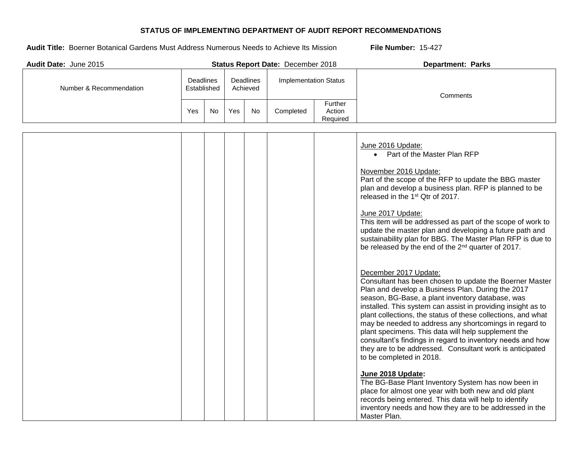| Audit Date: June 2015   |                                 |    |                              |    | Status Report Date: December 2018 |                               | <b>Department: Parks</b>                                                                                                                                                                                                                                                                                                                                                                                                                                                                                                                                                                                                                                                                                                                                                                                                                                                                                                                                                                                                                                                                                                                                                                                                                                                                                                                                                                                   |  |          |  |
|-------------------------|---------------------------------|----|------------------------------|----|-----------------------------------|-------------------------------|------------------------------------------------------------------------------------------------------------------------------------------------------------------------------------------------------------------------------------------------------------------------------------------------------------------------------------------------------------------------------------------------------------------------------------------------------------------------------------------------------------------------------------------------------------------------------------------------------------------------------------------------------------------------------------------------------------------------------------------------------------------------------------------------------------------------------------------------------------------------------------------------------------------------------------------------------------------------------------------------------------------------------------------------------------------------------------------------------------------------------------------------------------------------------------------------------------------------------------------------------------------------------------------------------------------------------------------------------------------------------------------------------------|--|----------|--|
| Number & Recommendation | <b>Deadlines</b><br>Established |    | <b>Deadlines</b><br>Achieved |    |                                   | <b>Implementation Status</b>  |                                                                                                                                                                                                                                                                                                                                                                                                                                                                                                                                                                                                                                                                                                                                                                                                                                                                                                                                                                                                                                                                                                                                                                                                                                                                                                                                                                                                            |  | Comments |  |
|                         | Yes                             | No | Yes                          | No | Completed                         | Further<br>Action<br>Required |                                                                                                                                                                                                                                                                                                                                                                                                                                                                                                                                                                                                                                                                                                                                                                                                                                                                                                                                                                                                                                                                                                                                                                                                                                                                                                                                                                                                            |  |          |  |
|                         |                                 |    |                              |    |                                   |                               | June 2016 Update:<br>• Part of the Master Plan RFP<br>November 2016 Update:<br>Part of the scope of the RFP to update the BBG master<br>plan and develop a business plan. RFP is planned to be<br>released in the 1 <sup>st</sup> Qtr of 2017.<br>June 2017 Update:<br>This item will be addressed as part of the scope of work to<br>update the master plan and developing a future path and<br>sustainability plan for BBG. The Master Plan RFP is due to<br>be released by the end of the 2 <sup>nd</sup> quarter of 2017.<br>December 2017 Update:<br>Consultant has been chosen to update the Boerner Master<br>Plan and develop a Business Plan. During the 2017<br>season, BG-Base, a plant inventory database, was<br>installed. This system can assist in providing insight as to<br>plant collections, the status of these collections, and what<br>may be needed to address any shortcomings in regard to<br>plant specimens. This data will help supplement the<br>consultant's findings in regard to inventory needs and how<br>they are to be addressed. Consultant work is anticipated<br>to be completed in 2018.<br>June 2018 Update:<br>The BG-Base Plant Inventory System has now been in<br>place for almost one year with both new and old plant<br>records being entered. This data will help to identify<br>inventory needs and how they are to be addressed in the<br>Master Plan. |  |          |  |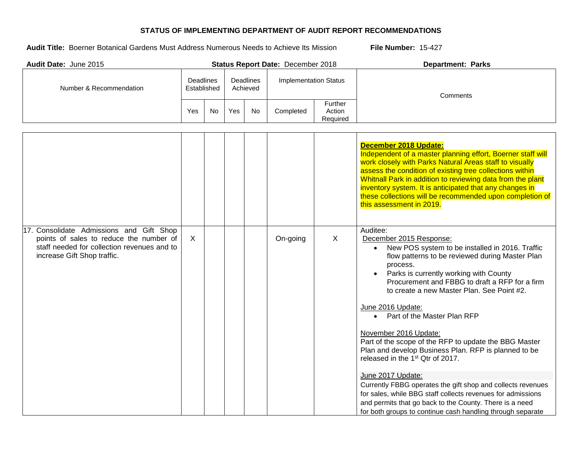| Audit Date: June 2015                                                                                                                                             |                                                          |     |                              |           | Status Report Date: December 2018 |                               | <b>Department: Parks</b>                                                                                                                                                                                                                                                                                                                                                                                                                                                                                                                                                                                                                                                                                                                     |
|-------------------------------------------------------------------------------------------------------------------------------------------------------------------|----------------------------------------------------------|-----|------------------------------|-----------|-----------------------------------|-------------------------------|----------------------------------------------------------------------------------------------------------------------------------------------------------------------------------------------------------------------------------------------------------------------------------------------------------------------------------------------------------------------------------------------------------------------------------------------------------------------------------------------------------------------------------------------------------------------------------------------------------------------------------------------------------------------------------------------------------------------------------------------|
| Number & Recommendation                                                                                                                                           | Deadlines<br><b>Deadlines</b><br>Established<br>Achieved |     | <b>Implementation Status</b> |           | Comments                          |                               |                                                                                                                                                                                                                                                                                                                                                                                                                                                                                                                                                                                                                                                                                                                                              |
|                                                                                                                                                                   | Yes                                                      | No. | Yes                          | <b>No</b> | Completed                         | Further<br>Action<br>Required |                                                                                                                                                                                                                                                                                                                                                                                                                                                                                                                                                                                                                                                                                                                                              |
| 17. Consolidate Admissions and Gift Shop<br>points of sales to reduce the number of<br>staff needed for collection revenues and to<br>increase Gift Shop traffic. | $\times$                                                 |     |                              |           | On-going                          | $\times$                      | December 2018 Update:<br>Independent of a master planning effort, Boerner staff will<br>work closely with Parks Natural Areas staff to visually<br>assess the condition of existing tree collections within<br>Whitnall Park in addition to reviewing data from the plant<br>inventory system. It is anticipated that any changes in<br>these collections will be recommended upon completion of<br>this assessment in 2019.<br>Auditee:<br>December 2015 Response:<br>New POS system to be installed in 2016. Traffic<br>$\bullet$<br>flow patterns to be reviewed during Master Plan<br>process.<br>Parks is currently working with County<br>Procurement and FBBG to draft a RFP for a firm<br>to create a new Master Plan. See Point #2. |
|                                                                                                                                                                   |                                                          |     |                              |           |                                   |                               | June 2016 Update:<br>• Part of the Master Plan RFP<br>November 2016 Update:<br>Part of the scope of the RFP to update the BBG Master<br>Plan and develop Business Plan. RFP is planned to be<br>released in the 1 <sup>st</sup> Qtr of 2017.<br>June 2017 Update:<br>Currently FBBG operates the gift shop and collects revenues<br>for sales, while BBG staff collects revenues for admissions<br>and permits that go back to the County. There is a need<br>for both groups to continue cash handling through separate                                                                                                                                                                                                                     |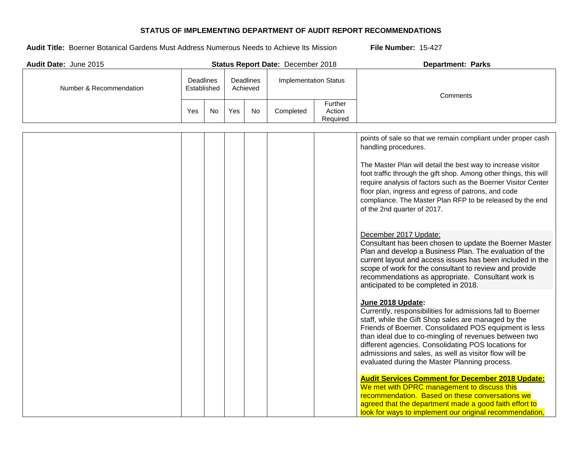| Audit Date: June 2015   |                          |     |                       |     | Status Report Date: December 2018 |                               | <b>Department: Parks</b>                                                                                                                                                                                                                                                                                                                                                                                                   |  |  |
|-------------------------|--------------------------|-----|-----------------------|-----|-----------------------------------|-------------------------------|----------------------------------------------------------------------------------------------------------------------------------------------------------------------------------------------------------------------------------------------------------------------------------------------------------------------------------------------------------------------------------------------------------------------------|--|--|
| Number & Recommendation | Deadlines<br>Established |     | Deadlines<br>Achieved |     | <b>Implementation Status</b>      |                               | Comments                                                                                                                                                                                                                                                                                                                                                                                                                   |  |  |
|                         | Yes                      | No. | Yes                   | No. | Completed                         | Further<br>Action<br>Required |                                                                                                                                                                                                                                                                                                                                                                                                                            |  |  |
|                         |                          |     |                       |     |                                   |                               | points of sale so that we remain compliant under proper cash<br>handling procedures.<br>The Master Plan will detail the best way to increase visitor                                                                                                                                                                                                                                                                       |  |  |
|                         |                          |     |                       |     |                                   |                               | foot traffic through the gift shop. Among other things, this will<br>require analysis of factors such as the Boerner Visitor Center<br>floor plan, ingress and egress of patrons, and code<br>compliance. The Master Plan RFP to be released by the end<br>of the 2nd quarter of 2017.                                                                                                                                     |  |  |
|                         |                          |     |                       |     |                                   |                               | December 2017 Update:<br>Consultant has been chosen to update the Boerner Master<br>Plan and develop a Business Plan. The evaluation of the<br>current layout and access issues has been included in the<br>scope of work for the consultant to review and provide<br>recommendations as appropriate. Consultant work is<br>anticipated to be completed in 2018.                                                           |  |  |
|                         |                          |     |                       |     |                                   |                               | June 2018 Update:<br>Currently, responsibilities for admissions fall to Boerner<br>staff, while the Gift Shop sales are managed by the<br>Friends of Boerner. Consolidated POS equipment is less<br>than ideal due to co-mingling of revenues between two<br>different agencies. Consolidating POS locations for<br>admissions and sales, as well as visitor flow will be<br>evaluated during the Master Planning process. |  |  |
|                         |                          |     |                       |     |                                   |                               | <b>Audit Services Comment for December 2018 Update:</b><br>We met with DPRC management to discuss this<br>recommendation. Based on these conversations we<br>agreed that the department made a good faith effort to<br>look for ways to implement our original recommendation,                                                                                                                                             |  |  |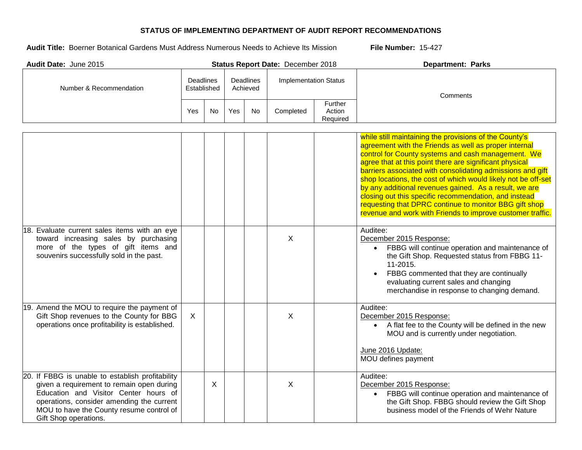| Audit Date: June 2015                                                                                                                                                                                                                                    |                                 |           |                              |    | Status Report Date: December 2018 |                               | <b>Department: Parks</b>                                                                                                                                                                                                                                                                                                                                                                                                                                                                                                                                                                                   |  |  |
|----------------------------------------------------------------------------------------------------------------------------------------------------------------------------------------------------------------------------------------------------------|---------------------------------|-----------|------------------------------|----|-----------------------------------|-------------------------------|------------------------------------------------------------------------------------------------------------------------------------------------------------------------------------------------------------------------------------------------------------------------------------------------------------------------------------------------------------------------------------------------------------------------------------------------------------------------------------------------------------------------------------------------------------------------------------------------------------|--|--|
| Number & Recommendation                                                                                                                                                                                                                                  | <b>Deadlines</b><br>Established |           | <b>Deadlines</b><br>Achieved |    | <b>Implementation Status</b>      |                               | Comments                                                                                                                                                                                                                                                                                                                                                                                                                                                                                                                                                                                                   |  |  |
|                                                                                                                                                                                                                                                          | Yes                             | <b>No</b> | Yes                          | No | Completed                         | Further<br>Action<br>Required |                                                                                                                                                                                                                                                                                                                                                                                                                                                                                                                                                                                                            |  |  |
|                                                                                                                                                                                                                                                          |                                 |           |                              |    |                                   |                               | while still maintaining the provisions of the County's<br>agreement with the Friends as well as proper internal<br>control for County systems and cash management. We<br>agree that at this point there are significant physical<br>barriers associated with consolidating admissions and gift<br>shop locations, the cost of which would likely not be off-set<br>by any additional revenues gained. As a result, we are<br>closing out this specific recommendation, and instead<br>requesting that DPRC continue to monitor BBG gift shop<br>revenue and work with Friends to improve customer traffic. |  |  |
| 18. Evaluate current sales items with an eye<br>toward increasing sales by purchasing<br>more of the types of gift items and<br>souvenirs successfully sold in the past.                                                                                 |                                 |           |                              |    | $\sf X$                           |                               | Auditee:<br>December 2015 Response:<br>FBBG will continue operation and maintenance of<br>$\bullet$<br>the Gift Shop. Requested status from FBBG 11-<br>11-2015.<br>FBBG commented that they are continually<br>evaluating current sales and changing<br>merchandise in response to changing demand.                                                                                                                                                                                                                                                                                                       |  |  |
| 19. Amend the MOU to require the payment of<br>Gift Shop revenues to the County for BBG<br>operations once profitability is established.                                                                                                                 | X                               |           |                              |    | $\sf X$                           |                               | Auditee:<br>December 2015 Response:<br>• A flat fee to the County will be defined in the new<br>MOU and is currently under negotiation.<br>June 2016 Update:<br>MOU defines payment                                                                                                                                                                                                                                                                                                                                                                                                                        |  |  |
| 20. If FBBG is unable to establish profitability<br>given a requirement to remain open during<br>Education and Visitor Center hours of<br>operations, consider amending the current<br>MOU to have the County resume control of<br>Gift Shop operations. |                                 | X         |                              |    | X                                 |                               | Auditee:<br>December 2015 Response:<br>FBBG will continue operation and maintenance of<br>the Gift Shop. FBBG should review the Gift Shop<br>business model of the Friends of Wehr Nature                                                                                                                                                                                                                                                                                                                                                                                                                  |  |  |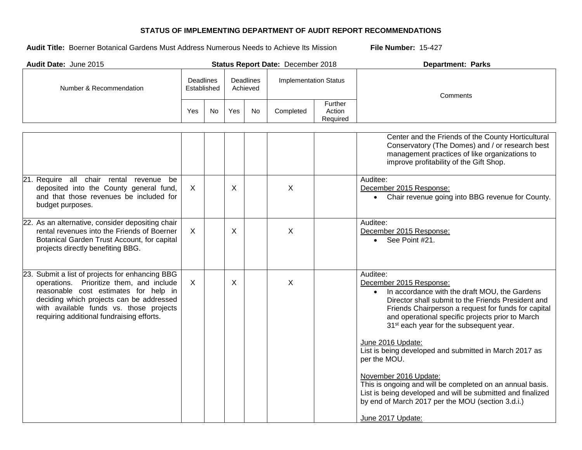| Audit Date: June 2015                                                                                                                                                                                                                                                    |                                                   |     |                              |           | Status Report Date: December 2018 |                               | <b>Department: Parks</b>                                                                                                                                                                                                                                                                                                                                                                                                                                                                                                                                                                                                                                |
|--------------------------------------------------------------------------------------------------------------------------------------------------------------------------------------------------------------------------------------------------------------------------|---------------------------------------------------|-----|------------------------------|-----------|-----------------------------------|-------------------------------|---------------------------------------------------------------------------------------------------------------------------------------------------------------------------------------------------------------------------------------------------------------------------------------------------------------------------------------------------------------------------------------------------------------------------------------------------------------------------------------------------------------------------------------------------------------------------------------------------------------------------------------------------------|
| Number & Recommendation                                                                                                                                                                                                                                                  | Deadlines<br>Deadlines<br>Established<br>Achieved |     | <b>Implementation Status</b> |           | Comments                          |                               |                                                                                                                                                                                                                                                                                                                                                                                                                                                                                                                                                                                                                                                         |
|                                                                                                                                                                                                                                                                          | Yes                                               | No. | Yes                          | <b>No</b> | Completed                         | Further<br>Action<br>Required |                                                                                                                                                                                                                                                                                                                                                                                                                                                                                                                                                                                                                                                         |
|                                                                                                                                                                                                                                                                          |                                                   |     |                              |           |                                   |                               | Center and the Friends of the County Horticultural<br>Conservatory (The Domes) and / or research best<br>management practices of like organizations to<br>improve profitability of the Gift Shop.                                                                                                                                                                                                                                                                                                                                                                                                                                                       |
| 21. Require all chair rental revenue be<br>deposited into the County general fund,<br>and that those revenues be included for<br>budget purposes.                                                                                                                        | $\sf X$                                           |     | $\sf X$                      |           | X                                 |                               | Auditee:<br>December 2015 Response:<br>Chair revenue going into BBG revenue for County.                                                                                                                                                                                                                                                                                                                                                                                                                                                                                                                                                                 |
| 22. As an alternative, consider depositing chair<br>rental revenues into the Friends of Boerner<br>Botanical Garden Trust Account, for capital<br>projects directly benefiting BBG.                                                                                      | $\sf X$                                           |     | $\times$                     |           | X                                 |                               | Auditee:<br>December 2015 Response:<br>See Point #21.                                                                                                                                                                                                                                                                                                                                                                                                                                                                                                                                                                                                   |
| 23. Submit a list of projects for enhancing BBG<br>operations. Prioritize them, and include<br>reasonable cost estimates for help in<br>deciding which projects can be addressed<br>with available funds vs. those projects<br>requiring additional fundraising efforts. | X                                                 |     | $\boldsymbol{\mathsf{X}}$    |           | X                                 |                               | Auditee:<br>December 2015 Response:<br>In accordance with the draft MOU, the Gardens<br>$\bullet$<br>Director shall submit to the Friends President and<br>Friends Chairperson a request for funds for capital<br>and operational specific projects prior to March<br>31 <sup>st</sup> each year for the subsequent year.<br>June 2016 Update:<br>List is being developed and submitted in March 2017 as<br>per the MOU.<br>November 2016 Update:<br>This is ongoing and will be completed on an annual basis.<br>List is being developed and will be submitted and finalized<br>by end of March 2017 per the MOU (section 3.d.i.)<br>June 2017 Update: |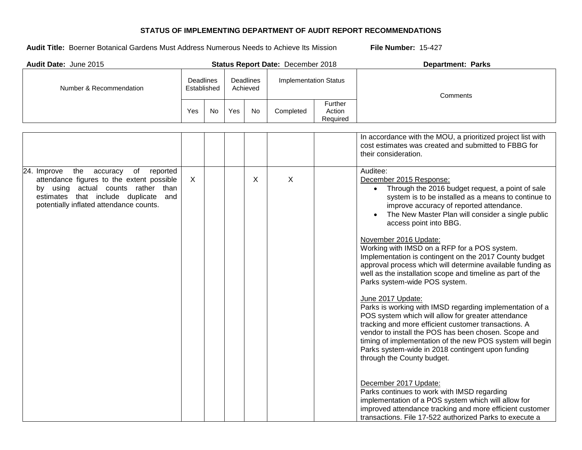| Audit Date: June 2015                                                                                                                                                                                                     |     |                          |     |                              | Status Report Date: December 2018 |                                      | <b>Department: Parks</b>                                                                                                                                                                                                                                                                                                                                                                                                                                                                                                                                                                                                                                                                                                                                                                                                                                                                                                                                                                                                                                   |  |
|---------------------------------------------------------------------------------------------------------------------------------------------------------------------------------------------------------------------------|-----|--------------------------|-----|------------------------------|-----------------------------------|--------------------------------------|------------------------------------------------------------------------------------------------------------------------------------------------------------------------------------------------------------------------------------------------------------------------------------------------------------------------------------------------------------------------------------------------------------------------------------------------------------------------------------------------------------------------------------------------------------------------------------------------------------------------------------------------------------------------------------------------------------------------------------------------------------------------------------------------------------------------------------------------------------------------------------------------------------------------------------------------------------------------------------------------------------------------------------------------------------|--|
| Number & Recommendation                                                                                                                                                                                                   |     | Deadlines<br>Established |     | <b>Deadlines</b><br>Achieved | <b>Implementation Status</b>      |                                      | Comments                                                                                                                                                                                                                                                                                                                                                                                                                                                                                                                                                                                                                                                                                                                                                                                                                                                                                                                                                                                                                                                   |  |
|                                                                                                                                                                                                                           | Yes | No                       | Yes | No                           | Completed                         | <b>Further</b><br>Action<br>Required |                                                                                                                                                                                                                                                                                                                                                                                                                                                                                                                                                                                                                                                                                                                                                                                                                                                                                                                                                                                                                                                            |  |
|                                                                                                                                                                                                                           |     |                          |     |                              |                                   |                                      | In accordance with the MOU, a prioritized project list with<br>cost estimates was created and submitted to FBBG for<br>their consideration.                                                                                                                                                                                                                                                                                                                                                                                                                                                                                                                                                                                                                                                                                                                                                                                                                                                                                                                |  |
| the<br>accuracy<br>of<br>24. Improve<br>reported<br>attendance figures to the extent possible<br>by using actual counts rather than<br>estimates that include duplicate<br>and<br>potentially inflated attendance counts. | X   |                          |     | X                            | $\sf X$                           |                                      | Auditee:<br>December 2015 Response:<br>• Through the 2016 budget request, a point of sale<br>system is to be installed as a means to continue to<br>improve accuracy of reported attendance.<br>The New Master Plan will consider a single public<br>access point into BBG.<br>November 2016 Update:<br>Working with IMSD on a RFP for a POS system.<br>Implementation is contingent on the 2017 County budget<br>approval process which will determine available funding as<br>well as the installation scope and timeline as part of the<br>Parks system-wide POS system.<br>June 2017 Update:<br>Parks is working with IMSD regarding implementation of a<br>POS system which will allow for greater attendance<br>tracking and more efficient customer transactions. A<br>vendor to install the POS has been chosen. Scope and<br>timing of implementation of the new POS system will begin<br>Parks system-wide in 2018 contingent upon funding<br>through the County budget.<br>December 2017 Update:<br>Parks continues to work with IMSD regarding |  |
|                                                                                                                                                                                                                           |     |                          |     |                              |                                   |                                      | implementation of a POS system which will allow for<br>improved attendance tracking and more efficient customer<br>transactions. File 17-522 authorized Parks to execute a                                                                                                                                                                                                                                                                                                                                                                                                                                                                                                                                                                                                                                                                                                                                                                                                                                                                                 |  |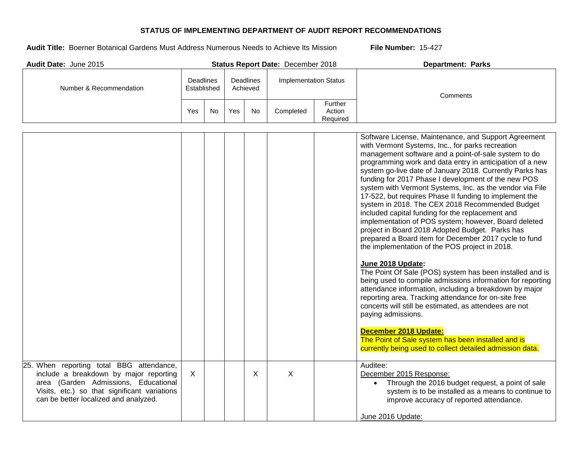| Audit Date: June 2015                                                                                                                                                                                               |                                                                 |           |                              |           | Status Report Date: December 2018 |                               | <b>Department: Parks</b>                                                                                                                                                                                                                                                                                                                                                                                                                                                                                                                                                                                                                                                                                                                                                                                                                                                                                                                                                                                                                                                                                                                                                                                                                                                                       |
|---------------------------------------------------------------------------------------------------------------------------------------------------------------------------------------------------------------------|-----------------------------------------------------------------|-----------|------------------------------|-----------|-----------------------------------|-------------------------------|------------------------------------------------------------------------------------------------------------------------------------------------------------------------------------------------------------------------------------------------------------------------------------------------------------------------------------------------------------------------------------------------------------------------------------------------------------------------------------------------------------------------------------------------------------------------------------------------------------------------------------------------------------------------------------------------------------------------------------------------------------------------------------------------------------------------------------------------------------------------------------------------------------------------------------------------------------------------------------------------------------------------------------------------------------------------------------------------------------------------------------------------------------------------------------------------------------------------------------------------------------------------------------------------|
| Number & Recommendation                                                                                                                                                                                             | <b>Deadlines</b><br><b>Deadlines</b><br>Established<br>Achieved |           | <b>Implementation Status</b> |           |                                   | Comments                      |                                                                                                                                                                                                                                                                                                                                                                                                                                                                                                                                                                                                                                                                                                                                                                                                                                                                                                                                                                                                                                                                                                                                                                                                                                                                                                |
|                                                                                                                                                                                                                     | Yes                                                             | <b>No</b> | Yes                          | <b>No</b> | Completed                         | Further<br>Action<br>Required |                                                                                                                                                                                                                                                                                                                                                                                                                                                                                                                                                                                                                                                                                                                                                                                                                                                                                                                                                                                                                                                                                                                                                                                                                                                                                                |
|                                                                                                                                                                                                                     |                                                                 |           |                              |           |                                   |                               | Software License, Maintenance, and Support Agreement<br>with Vermont Systems, Inc., for parks recreation<br>management software and a point-of-sale system to do<br>programming work and data entry in anticipation of a new<br>system go-live date of January 2018. Currently Parks has<br>funding for 2017 Phase I development of the new POS<br>system with Vermont Systems, Inc. as the vendor via File<br>17-522, but requires Phase II funding to implement the<br>system in 2018. The CEX 2018 Recommended Budget<br>included capital funding for the replacement and<br>implementation of POS system; however, Board deleted<br>project in Board 2018 Adopted Budget. Parks has<br>prepared a Board item for December 2017 cycle to fund<br>the implementation of the POS project in 2018.<br>June 2018 Update:<br>The Point Of Sale (POS) system has been installed and is<br>being used to compile admissions information for reporting<br>attendance information, including a breakdown by major<br>reporting area. Tracking attendance for on-site free<br>concerts will still be estimated, as attendees are not<br>paying admissions.<br>December 2018 Update:<br>The Point of Sale system has been installed and is<br>currently being used to collect detailed admission data. |
| 25. When reporting total BBG attendance,<br>include a breakdown by major reporting<br>area (Garden Admissions, Educational<br>Visits, etc.) so that significant variations<br>can be better localized and analyzed. | $\mathsf{X}$                                                    |           |                              | X         | $\boldsymbol{\mathsf{X}}$         |                               | Auditee:<br>December 2015 Response:<br>Through the 2016 budget request, a point of sale<br>system is to be installed as a means to continue to<br>improve accuracy of reported attendance.<br>June 2016 Update:                                                                                                                                                                                                                                                                                                                                                                                                                                                                                                                                                                                                                                                                                                                                                                                                                                                                                                                                                                                                                                                                                |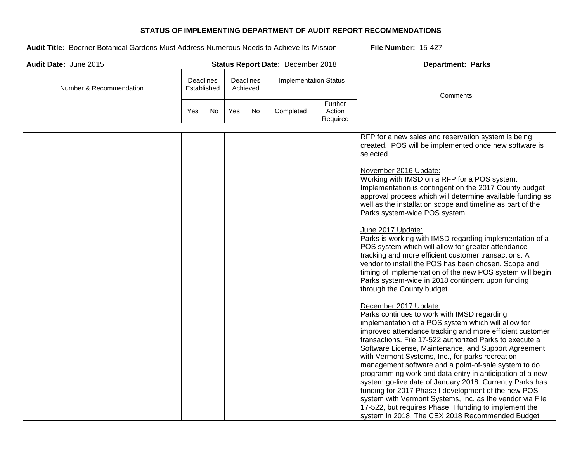| Audit Date: June 2015   |                                 |           |     |                              | Status Report Date: December 2018 |                               | <b>Department: Parks</b>                                                                                                                                                                                                                                                                                                                                                                                                                                                                                                                                                                                                                                                                                                                                                                                                                                                                                                                                                                                                                                                                                                                                                                                                                                                                                                                                                                                                                                                                                                                                                                                           |  |  |
|-------------------------|---------------------------------|-----------|-----|------------------------------|-----------------------------------|-------------------------------|--------------------------------------------------------------------------------------------------------------------------------------------------------------------------------------------------------------------------------------------------------------------------------------------------------------------------------------------------------------------------------------------------------------------------------------------------------------------------------------------------------------------------------------------------------------------------------------------------------------------------------------------------------------------------------------------------------------------------------------------------------------------------------------------------------------------------------------------------------------------------------------------------------------------------------------------------------------------------------------------------------------------------------------------------------------------------------------------------------------------------------------------------------------------------------------------------------------------------------------------------------------------------------------------------------------------------------------------------------------------------------------------------------------------------------------------------------------------------------------------------------------------------------------------------------------------------------------------------------------------|--|--|
| Number & Recommendation | <b>Deadlines</b><br>Established |           |     | <b>Deadlines</b><br>Achieved | <b>Implementation Status</b>      |                               | Comments                                                                                                                                                                                                                                                                                                                                                                                                                                                                                                                                                                                                                                                                                                                                                                                                                                                                                                                                                                                                                                                                                                                                                                                                                                                                                                                                                                                                                                                                                                                                                                                                           |  |  |
|                         | Yes                             | <b>No</b> | Yes | No                           | Completed                         | Further<br>Action<br>Required |                                                                                                                                                                                                                                                                                                                                                                                                                                                                                                                                                                                                                                                                                                                                                                                                                                                                                                                                                                                                                                                                                                                                                                                                                                                                                                                                                                                                                                                                                                                                                                                                                    |  |  |
|                         |                                 |           |     |                              |                                   |                               | RFP for a new sales and reservation system is being<br>created. POS will be implemented once new software is<br>selected.<br>November 2016 Update:<br>Working with IMSD on a RFP for a POS system.<br>Implementation is contingent on the 2017 County budget<br>approval process which will determine available funding as<br>well as the installation scope and timeline as part of the<br>Parks system-wide POS system.<br>June 2017 Update:<br>Parks is working with IMSD regarding implementation of a<br>POS system which will allow for greater attendance<br>tracking and more efficient customer transactions. A<br>vendor to install the POS has been chosen. Scope and<br>timing of implementation of the new POS system will begin<br>Parks system-wide in 2018 contingent upon funding<br>through the County budget.<br>December 2017 Update:<br>Parks continues to work with IMSD regarding<br>implementation of a POS system which will allow for<br>improved attendance tracking and more efficient customer<br>transactions. File 17-522 authorized Parks to execute a<br>Software License, Maintenance, and Support Agreement<br>with Vermont Systems, Inc., for parks recreation<br>management software and a point-of-sale system to do<br>programming work and data entry in anticipation of a new<br>system go-live date of January 2018. Currently Parks has<br>funding for 2017 Phase I development of the new POS<br>system with Vermont Systems, Inc. as the vendor via File<br>17-522, but requires Phase II funding to implement the<br>system in 2018. The CEX 2018 Recommended Budget |  |  |